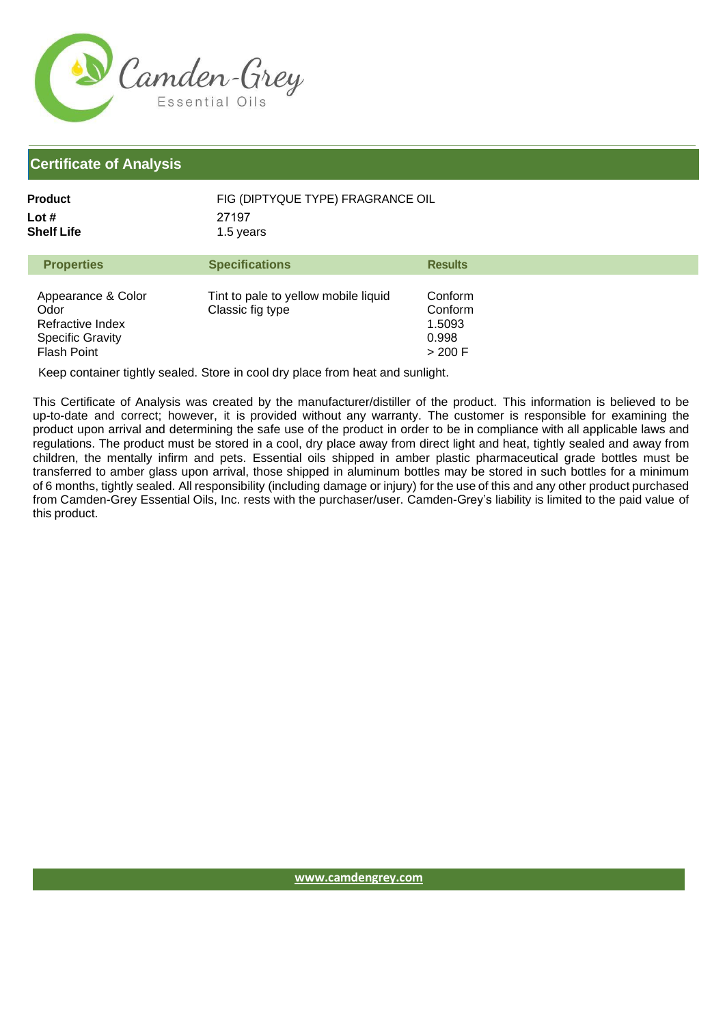

| Product             | FIG (DIPTYQUE TYPE) FRAGRANCE OIL |
|---------------------|-----------------------------------|
| Lot #<br>Shelf Life | 27197<br>1.5 years                |
|                     |                                   |

| <b>Properties</b>                                                                        | <b>Specifications</b>                                    | <b>Results</b>                                   |
|------------------------------------------------------------------------------------------|----------------------------------------------------------|--------------------------------------------------|
| Appearance & Color<br>Odor<br>Refractive Index<br><b>Specific Gravity</b><br>Flash Point | Tint to pale to yellow mobile liquid<br>Classic fig type | Conform<br>Conform<br>1.5093<br>0.998<br>> 200 F |

Keep container tightly sealed. Store in cool dry place from heat and sunlight.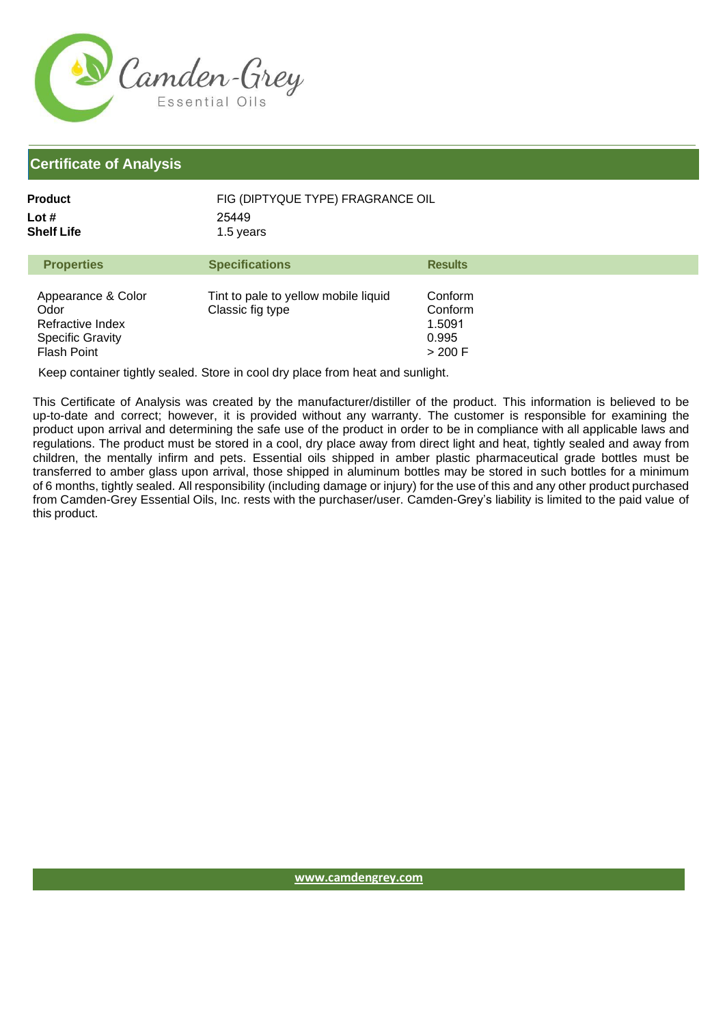

| Product             | FIG (DIPTYQUE TYPE) FRAGRANCE OIL |
|---------------------|-----------------------------------|
| Lot #<br>Shelf Life | 25449<br>1.5 years                |
|                     |                                   |

| <b>Properties</b>                                                                               | <b>Specifications</b>                                    | <b>Results</b>                                     |
|-------------------------------------------------------------------------------------------------|----------------------------------------------------------|----------------------------------------------------|
| Appearance & Color<br>Odor<br>Refractive Index<br><b>Specific Gravity</b><br><b>Flash Point</b> | Tint to pale to yellow mobile liquid<br>Classic fig type | Conform<br>Conform<br>1.5091<br>0.995<br>$>$ 200 F |

Keep container tightly sealed. Store in cool dry place from heat and sunlight.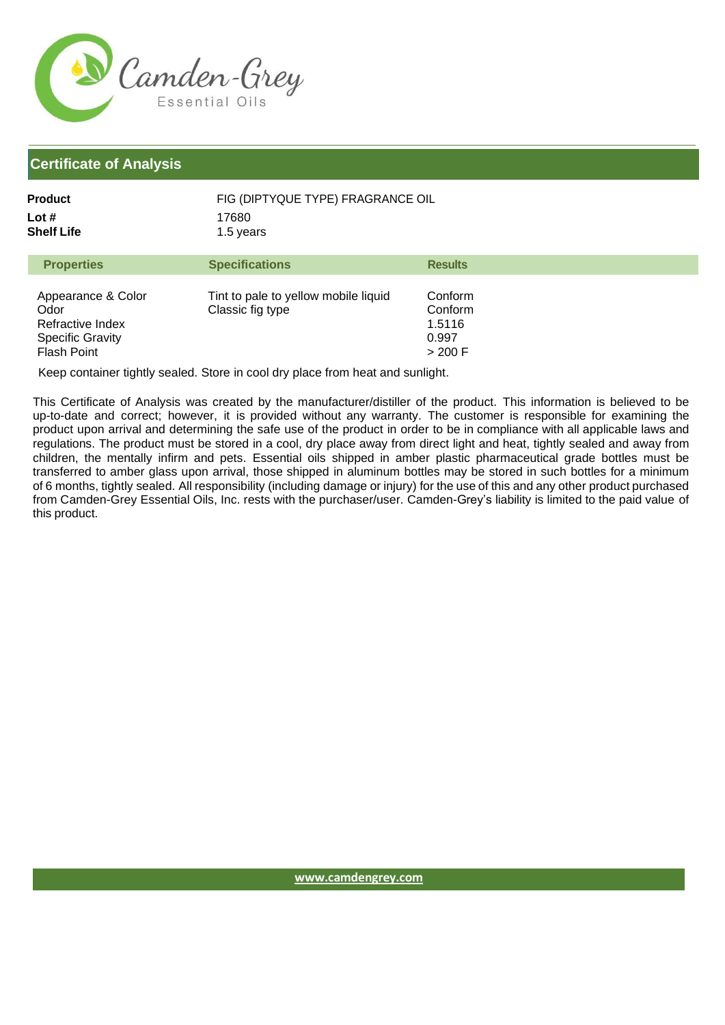

| Product             | FIG (DIPTYQUE TYPE) FRAGRANCE OIL |
|---------------------|-----------------------------------|
| Lot #<br>Shelf Life | 17680<br>1.5 years                |
|                     |                                   |

| <b>Properties</b>                                                                               | <b>Specifications</b>                                    | <b>Results</b>                                     |
|-------------------------------------------------------------------------------------------------|----------------------------------------------------------|----------------------------------------------------|
| Appearance & Color<br>Odor<br>Refractive Index<br><b>Specific Gravity</b><br><b>Flash Point</b> | Tint to pale to yellow mobile liquid<br>Classic fig type | Conform<br>Conform<br>1.5116<br>0.997<br>$>$ 200 F |

Keep container tightly sealed. Store in cool dry place from heat and sunlight.